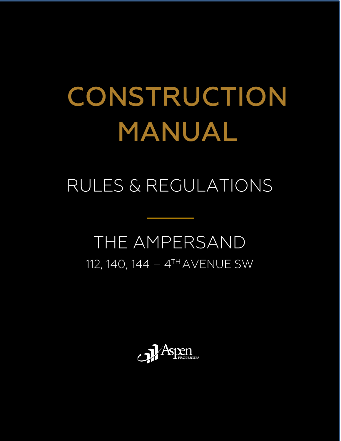# CONSTRUCTION MANUAL

# RULES & REGULATIONS

# THE AMPERSAND 112, 140, 144 - 4TH AVENUE SW

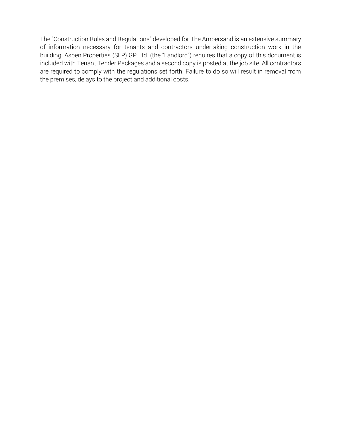The "Construction Rules and Regulations" developed for The Ampersand is an extensive summary of information necessary for tenants and contractors undertaking construction work in the building. Aspen Properties (SLP) GP Ltd. (the "Landlord") requires that a copy of this document is included with Tenant Tender Packages and a second copy is posted at the job site. All contractors are required to comply with the regulations set forth. Failure to do so will result in removal from the premises, delays to the project and additional costs.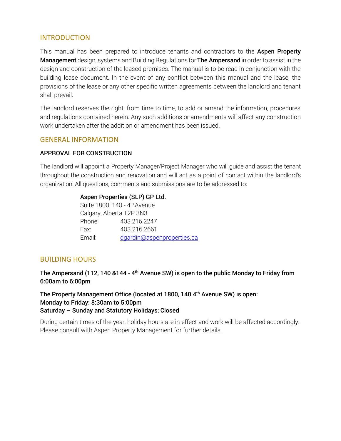#### INTRODUCTION

This manual has been prepared to introduce tenants and contractors to the **Aspen Property** Management design, systems and Building Regulations for The Ampersand in order to assist in the design and construction of the leased premises. The manual is to be read in conjunction with the building lease document. In the event of any conflict between this manual and the lease, the provisions of the lease or any other specific written agreements between the landlord and tenant shall prevail.

The landlord reserves the right, from time to time, to add or amend the information, procedures and regulations contained herein. Any such additions or amendments will affect any construction work undertaken after the addition or amendment has been issued.

#### GENERAL INFORMATION

#### APPROVAL FOR CONSTRUCTION

The landlord will appoint a Property Manager/Project Manager who will guide and assist the tenant throughout the construction and renovation and will act as a point of contact within the landlord's organization. All questions, comments and submissions are to be addressed to:

#### Aspen Properties (SLP) GP Ltd.

Suite 1800, 140 - 4<sup>th</sup> Avenue Calgary, Alberta T2P 3N3 Phone: 403.216.2247 Fax: 403.216.2661 Email: [dgardin@aspenproperties.ca](mailto:dgardin@aspenproperties.ca)

#### BUILDING HOURS

The Ampersand (112, 140 &144 - 4<sup>th</sup> Avenue SW) is open to the public Monday to Friday from 6:00am to 6:00pm

The Property Management Office (located at 1800, 140 4th Avenue SW) is open: Monday to Friday: 8:30am to 5:00pm Saturday – Sunday and Statutory Holidays: Closed

During certain times of the year, holiday hours are in effect and work will be affected accordingly. Please consult with Aspen Property Management for further details.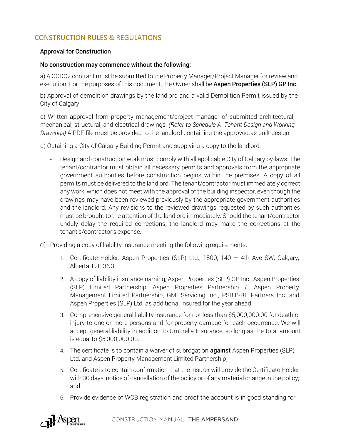# CONSTRUCTION RULES & REGULATIONS

#### Approval for Construction

#### No construction may commence without the following:

a) A CCDC2 contract must be submitted to the Property Manager/Project Manager for review and execution. For the purposes of this document, the Owner shall be **Aspen Properties (SLP) GP Inc.** 

b) Approval of demolition drawings by the landlord and a valid Demolition Permit issued by the City of Calgary.

c) Written approval from property management/project manager of submitted architectural, mechanical, structural, and electrical drawings*. (Refer to Schedule A- Tenant Design and Working Drawings)* A PDF file must be provided to the landlord containing the approved,as built design.

d) Obtaining a City of Calgary Building Permit and supplying a copy to the landlord.

- Design and construction work must comply with all applicable City of Calgary by-laws. The tenant/contractor must obtain all necessary permits and approvals from the appropriate government authorities before construction begins within the premises. A copy of all permits must be delivered to the landlord. The tenant/contractor must immediately correct any work, which does not meet with the approval of the building inspector, even though the drawings may have been reviewed previously by the appropriate government authorities and the landlord. Any revisions to the reviewed drawings requested by such authorities must be brought to the attention of the landlord immediately. Should the tenant/contractor unduly delay the required corrections, the landlord may make the corrections at the tenant's/contractor's expense.
- d) Providing a copy of liability insurance meeting the following requirements;
	- 1. Certificate Holder: Aspen Properties (SLP) Ltd., 1800, 140 4th Ave SW, Calgary, Alberta T2P 3N3
	- 2. A copy of liability insurance naming, Aspen Properties (SLP) GP Inc., Aspen Properties (SLP) Limited Partnership, Aspen Properties Partnership 7, Aspen Property Management Limited Partnership, GMI Servicing Inc., PSBIB-RE Partners Inc. and Aspen Properties (SLP) Ltd. as additional insured for the year ahead.
	- 3. Comprehensive general liability insurance for not less than \$5,000,000.00 for death or injury to one or more persons and for property damage for each occurrence. We will accept general liability in addition to Umbrella Insurance, so long as the total amount is equal to \$5,000,000.00.
	- 4. The certificate is to contain a waiver of subrogation **against** Aspen Properties (SLP) Ltd. and Aspen Property Management Limited Partnership;
	- 5. Certificate is to contain confirmation that the insurer will provide the Certificate Holder with 30 days' notice of cancellation of the policy or of any material change in the policy; and
	- 6. Provide evidence of WCB registration and proof the account is in good standing for

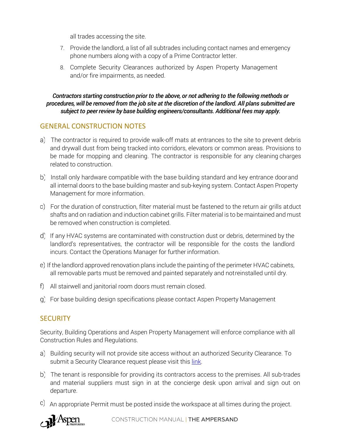all trades accessing the site.

- 7. Provide the landlord, a list of all subtrades including contact names and emergency phone numbers along with a copy of a Prime Contractor letter.
- 8. Complete Security Clearances authorized by Aspen Property Management and/or fire impairments, as needed.

#### *Contractors starting construction prior to the above, or not adhering to the following methods or procedures, will be removed from the job site at the discretion of the landlord. All plans submitted are subject to peer review by base building engineers/consultants. Additional fees may apply.*

# GENERAL CONSTRUCTION NOTES

- The contractor is required to provide walk-off mats at entrances to the site to prevent debris and drywall dust from being tracked into corridors, elevators or common areas. Provisions to be made for mopping and cleaning. The contractor is responsible for any cleaning charges related to construction.
- b) Install only hardware compatible with the base building standard and key entrance doorand all internal doors to the base building master and sub-keying system. Contact Aspen Property Management for more information.
- For the duration of construction, filter material must be fastened to the return air grills atduct shafts and on radiation and induction cabinet grills. Filter material is to be maintained and must be removed when construction is completed.
- d) If any HVAC systems are contaminated with construction dust or debris, determined by the landlord's representatives, the contractor will be responsible for the costs the landlord incurs. Contact the Operations Manager for further information.
- If the landlord approved renovation plans include the painting of the perimeter HVAC cabinets, all removable parts must be removed and painted separately and notreinstalled until dry.
- All stairwell and janitorial room doors must remain closed.
- For base building design specifications please contact Aspen Property Management

#### **SECURITY**

Security, Building Operations and Aspen Property Management will enforce compliance with all Construction Rules and Regulations.

- a) Building security will not provide site access without an authorized Security Clearance. To submit a Security Clearance request please visit this [link.](https://aspenproperties.wufoo.com/forms/m2z3s6l0a47e4f/)
- The tenant is responsible for providing its contractors access to the premises. All sub-trades and material suppliers must sign in at the concierge desk upon arrival and sign out on departure.
- An appropriate Permit must be posted inside the workspace at all times during the project.

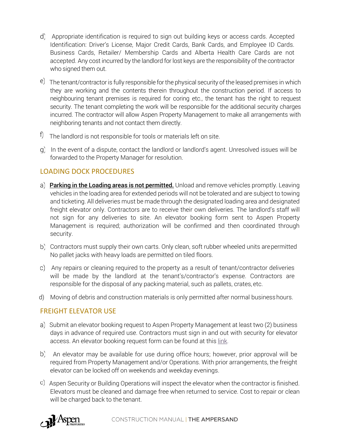- Appropriate identification is required to sign out building keys or access cards. Accepted Identification: Driver's License, Major Credit Cards, Bank Cards, and Employee ID Cards. Business Cards, Retailer/ Membership Cards and Alberta Health Care Cards are not accepted. Any cost incurred by the landlord for lost keys are the responsibility of the contractor who signed them out.
- e) The tenant/contractor is fully responsible for the physical security of the leased premises in which they are working and the contents therein throughout the construction period. If access to neighbouring tenant premises is required for coring etc., the tenant has the right to request security. The tenant completing the work will be responsible for the additional security charges incurred. The contractor will allow Aspen Property Management to make all arrangements with neighboring tenants and not contact them directly.
- $\uparrow$  The landlord is not responsible for tools or materials left on site.
- g) In the event of a dispute, contact the landlord or landlord's agent. Unresolved issues will be forwarded to the Property Manager for resolution.

# LOADING DOCK PROCEDURES

- a) Parking in the Loading areas is not permitted. Unload and remove vehicles promptly. Leaving vehicles in the loading area for extended periods will not be tolerated and are subject to towing and ticketing. All deliveries must be made through the designated loading area and designated freight elevator only. Contractors are to receive their own deliveries. The landlord's staff will not sign for any deliveries to site. An elevator booking form sent to Aspen Property Management is required; authorization will be confirmed and then coordinated through security.
- Contractors must supply their own carts. Only clean, soft rubber wheeled units arepermitted No pallet jacks with heavy loads are permitted on tiled floors.
- Any repairs or cleaning required to the property as a result of tenant/contractor deliveries will be made by the landlord at the tenant's/contractor's expense. Contractors are responsible for the disposal of any packing material, such as pallets, crates, etc.
- d) Moving of debris and construction materials is only permitted after normal businesshours.

#### FREIGHT ELEVATOR USE

- a) Submit an elevator booking request to Aspen Property Management at least two (2) business days in advance of required use. Contractors must sign in and out with security for elevator access. An elevator booking request form can be found at this [link.](https://aspenproperties.wufoo.com/forms/q3tb82z0jh0690/)
- b) An elevator may be available for use during office hours; however, prior approval will be required from Property Management and/or Operations. With prior arrangements, the freight elevator can be locked off on weekends and weekday evenings.
- Aspen Security or Building Operations will inspect the elevator when the contractor is finished. Elevators must be cleaned and damage free when returned to service. Cost to repair or clean will be charged back to the tenant.

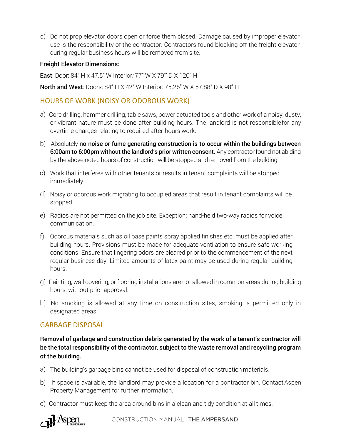d) Do not prop elevator doors open or force them closed. Damage caused by improper elevator use is the responsibility of the contractor. Contractors found blocking off the freight elevator during regular business hours will be removed from site.

#### Freight Elevator Dimensions:

East: Door: 84" H x 47.5" W Interior*:* 77" W X 79'" D X 120" H

North and West: Doors: 84" H X 42" W Interior: 75.26" W X 57.88" D X 98" H

#### HOURS OF WORK (NOISY OR ODOROUS WORK)

- Core drilling, hammer drilling, table saws, power actuated tools and other work of a noisy, dusty, or vibrant nature must be done after building hours. The landlord is not responsiblefor any overtime charges relating to required after-hours work.
- b) Absolutely no noise or fume generating construction is to occur within the buildings between 6:00am to 6:00pm without the landlord's prior written consent. Any contractor found not abiding by the above-noted hours of construction will be stopped and removed from the building.
- Work that interferes with other tenants or results in tenant complaints will be stopped immediately.
- Noisy or odorous work migrating to occupied areas that result in tenant complaints will be stopped.
- Radios are not permitted on the job site. Exception: hand-held two-way radios for voice communication.
- Odorous materials such as oil base paints spray applied finishes etc. must be applied after building hours. Provisions must be made for adequate ventilation to ensure safe working conditions. Ensure that lingering odors are cleared prior to the commencement of the next regular business day. Limited amounts of latex paint may be used during regular building hours.
- Painting, wall covering, or flooring installations are not allowed in common areas during building hours, without prior approval.
- h) No smoking is allowed at any time on construction sites, smoking is permitted only in designated areas.

#### GARBAGE DISPOSAL

Removal of garbage and construction debris generated by the work of a tenant's contractor will be the total responsibility of the contractor, subject to the waste removal and recycling program of the building.

- The building's garbage bins cannot be used for disposal of construction materials.
- b) If space is available, the landlord may provide a location for a contractor bin. ContactAspen Property Management for further information.
- Contractor must keep the area around bins in a clean and tidy condition at all times.

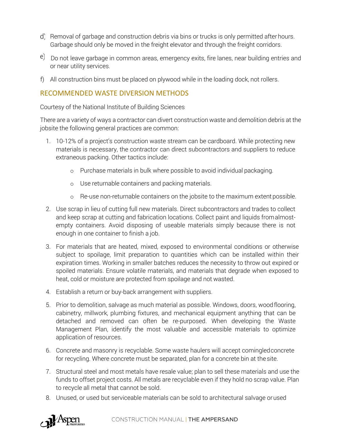- d) Removal of garbage and construction debris via bins or trucks is only permitted after hours. Garbage should only be moved in the freight elevator and through the freight corridors.
- e) Do not leave garbage in common areas, emergency exits, fire lanes, near building entries and or near utility services.
- f) All construction bins must be placed on plywood while in the loading dock, not rollers.

#### RECOMMENDED WASTE DIVERSION METHODS

Courtesy of the National Institute of Building Sciences

There are a variety of ways a contractor can divert construction waste and demolition debris at the jobsite the following general practices are common:

- 1. 10-12% of a project's construction waste stream can be cardboard. While protecting new materials is necessary, the contractor can direct subcontractors and suppliers to reduce extraneous packing. Other tactics include:
	- o Purchase materials in bulk where possible to avoid individual packaging.
	- o Use returnable containers and packing materials.
	- o Re-use non-returnable containers on the jobsite to the maximum extent possible.
- 2. Use scrap in lieu of cutting full new materials. Direct subcontractors and trades to collect and keep scrap at cutting and fabrication locations. Collect paint and liquids fromalmostempty containers. Avoid disposing of useable materials simply because there is not enough in one container to finish a job.
- 3. For materials that are heated, mixed, exposed to environmental conditions or otherwise subject to spoilage, limit preparation to quantities which can be installed within their expiration times. Working in smaller batches reduces the necessity to throw out expired or spoiled materials. Ensure volatile materials, and materials that degrade when exposed to heat, cold or moisture are protected from spoilage and not wasted.
- 4. Establish a return or buy-back arrangement with suppliers.
- 5. Prior to demolition, salvage as much material as possible. Windows, doors, woodflooring, cabinetry, millwork, plumbing fixtures, and mechanical equipment anything that can be detached and removed can often be re-purposed. When developing the Waste Management Plan, identify the most valuable and accessible materials to optimize application of resources.
- 6. Concrete and masonry is recyclable. Some waste haulers will accept comingledconcrete for recycling. Where concrete must be separated, plan for a concrete bin at the site.
- 7. Structural steel and most metals have resale value; plan to sell these materials and use the funds to offset project costs. All metals are recyclable even if they hold no scrap value. Plan to recycle all metal that cannot be sold.
- 8. Unused, or used but serviceable materials can be sold to architectural salvage orused

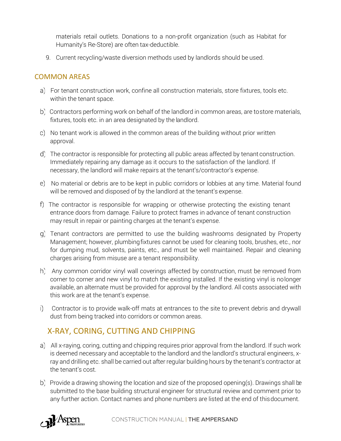materials retail outlets. Donations to a non-profit organization (such as Habitat for Humanity's Re-Store) are often tax-deductible.

9. Current recycling/waste diversion methods used by landlords should be used.

# COMMON AREAS

- For tenant construction work, confine all construction materials, store fixtures, tools etc. within the tenant space.
- b) Contractors performing work on behalf of the landlord in common areas, are tostore materials, fixtures, tools etc. in an area designated by the landlord.
- No tenant work is allowed in the common areas of the building without prior written approval.
- The contractor is responsible for protecting all public areas affected by tenant construction. Immediately repairing any damage as it occurs to the satisfaction of the landlord. If necessary, the landlord will make repairs at the tenant's/contractor's expense.
- No material or debris are to be kept in public corridors or lobbies at any time. Material found will be removed and disposed of by the landlord at the tenant's expense.
- The contractor is responsible for wrapping or otherwise protecting the existing tenant entrance doors from damage. Failure to protect frames in advance of tenant construction may result in repair or painting charges at the tenant's expense.
- Tenant contractors are permitted to use the building washrooms designated by Property Management; however, plumbingfixtures cannot be used for cleaning tools, brushes, etc., nor for dumping mud, solvents, paints, etc., and must be well maintained. Repair and cleaning charges arising from misuse are a tenant responsibility.
- h) Any common corridor vinyl wall coverings affected by construction, must be removed from corner to corner and new vinyl to match the existing installed. If the existing vinyl is nolonger available, an alternate must be provided for approval by the landlord. All costs associated with this work are at the tenant's expense.
- Contractor is to provide walk-off mats at entrances to the site to prevent debris and drywall dust from being tracked into corridors or common areas.

# X-RAY, CORING, CUTTING AND CHIPPING

- All x-raying, coring, cutting and chipping requires prior approval from the landlord. If such work is deemed necessary and acceptable to the landlord and the landlord's structural engineers, xray and drilling etc. shall be carried out after regular building hours by the tenant's contractor at the tenant's cost.
- b) Provide a drawing showing the location and size of the proposed opening(s). Drawings shall be submitted to the base building structural engineer for structural review and comment prior to any further action. Contact names and phone numbers are listed at the end of thisdocument.

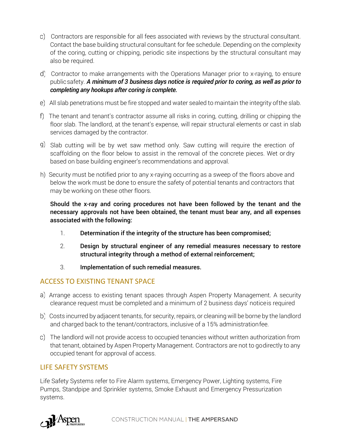- Contractors are responsible for all fees associated with reviews by the structural consultant. Contact the base building structural consultant for fee schedule. Depending on the complexity of the coring, cutting or chipping, periodic site inspections by the structural consultant may also be required.
- Contractor to make arrangements with the Operations Manager prior to x-raying, to ensure publicsafety. *A minimum of 3 business days notice is required prior to coring, as well as prior to completing any hookups after coring is complete.*
- All slab penetrations must be fire stopped and water sealed to maintain the integrity ofthe slab.
- The tenant and tenant's contractor assume all risks in coring, cutting, drilling or chipping the floor slab. The landlord, at the tenant's expense, will repair structural elements or cast in slab services damaged by the contractor.
- Slab cutting will be by wet saw method only. Saw cutting will require the erection of scaffolding on the floor below to assist in the removal of the concrete pieces. Wet or dry based on base building engineer's recommendations and approval.
- h) Security must be notified prior to any x-raying occurring as a sweep of the floors above and below the work must be done to ensure the safety of potential tenants and contractors that may be working on these other floors.

Should the x-ray and coring procedures not have been followed by the tenant and the necessary approvals not have been obtained, the tenant must bear any, and all expenses associated with the following:

- 1. Determination if the integrity of the structure has been compromised;
- 2. Design by structural engineer of any remedial measures necessary to restore structural integrity through a method of external reinforcement;
- 3. Implementation of such remedial measures.

#### ACCESS TO EXISTING TENANT SPACE

- a) Arrange access to existing tenant spaces through Aspen Property Management. A security clearance request must be completed and a minimum of 2 business days' noticeis required
- Costs incurred by adjacent tenants, for security, repairs, or cleaning will be borne by the landlord and charged back to the tenant/contractors, inclusive of a 15% administrationfee.
- The landlord will not provide access to occupied tenancies without written authorization from that tenant, obtained by Aspen Property Management. Contractors are not to godirectly to any occupied tenant for approval of access.

#### LIFE SAFETY SYSTEMS

Life Safety Systems refer to Fire Alarm systems, Emergency Power, Lighting systems, Fire Pumps, Standpipe and Sprinkler systems, Smoke Exhaust and Emergency Pressurization systems.

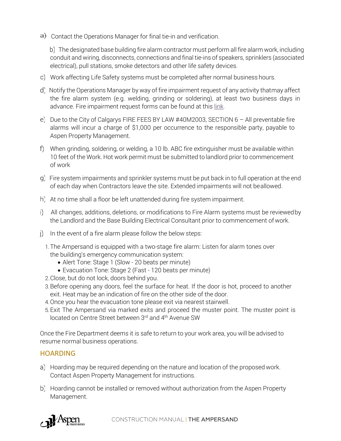a) Contact the Operations Manager for final tie-in and verification.

 The designated base building fire alarm contractor must perform all fire alarm work, including conduit and wiring, disconnects, connections and final tie-ins of speakers, sprinklers (associated electrical), pull stations, smoke detectors and other life safety devices.

- Work affecting Life Safety systems must be completed after normal business hours.
- d) Notify the Operations Manager by way of fire impairment request of any activity thatmay affect the fire alarm system (e.g. welding, grinding or soldering), at least two business days in advance. Fire impairment request forms can be found at thi[s link.](https://aspenproperties.wufoo.com/forms/m5tpbt61m2xv06/)
- e) Due to the City of Calgarys FIRE FEES BY LAW #40M2003, SECTION  $6 -$  All preventable fire alarms will incur a charge of \$1,000 per occurrence to the responsible party, payable to Aspen Property Management.
- When grinding, soldering, or welding, a 10 lb. ABC fire extinguisher must be available within 10 feet of the Work. Hot work permit must be submitted to landlord prior to commencement of work
- Fire system impairments and sprinkler systems must be put back in to full operation at the end of each day when Contractors leave the site. Extended impairments will not beallowed.
- h) At no time shall a floor be left unattended during fire system impairment.
- All changes, additions, deletions, or modifications to Fire Alarm systems must be reviewedby the Landlord and the Base Building Electrical Consultant prior to commencement of work.
- $I$  In the event of a fire alarm please follow the below steps:
	- 1.The Ampersand is equipped with a two-stage fire alarm: Listen for alarm tones over the building's emergency communication system:
		- Alert Tone: Stage 1 (Slow 20 beats per minute)
		- Evacuation Tone: Stage 2 (Fast 120 beats per minute)
	- 2.Close, but do not lock, doors behind you.
	- 3.Before opening any doors, feel the surface for heat. If the door is hot, proceed to another exit. Heat may be an indication of fire on the other side of the door.
	- 4.Once you hear the evacuation tone please exit via nearest stairwell.
	- 5.Exit The Ampersand via marked exits and proceed the muster point. The muster point is located on Centre Street between 3rd and 4<sup>th</sup> Avenue SW

Once the Fire Department deems it is safe to return to your work area, you will be advised to resume normal business operations.

#### **HOARDING**

- Hoarding may be required depending on the nature and location of the proposed work. Contact Aspen Property Management for instructions.
- b) Hoarding cannot be installed or removed without authorization from the Aspen Property Management.

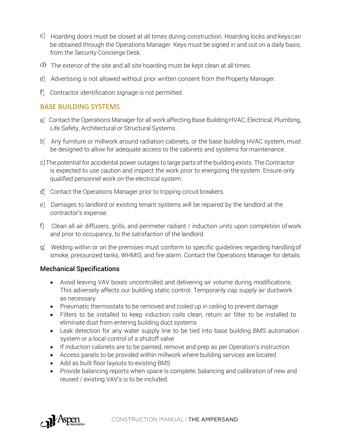- Hoarding doors must be closed at all times during construction. Hoarding locks and keyscan be obtained through the Operations Manager. Keys must be signed in and out on a daily basis, from the Security Concierge Desk.
- The exterior of the site and all site hoarding must be kept clean at all times.
- Advertising is not allowed without prior written consent from theProperty Manager.
- Contractor identification signage is not permitted.

# BASE BUILDING SYSTEMS

- Contact the Operations Manager for all work affecting Base Building HVAC, Electrical, Plumbing, Life Safety, Architectural or Structural Systems.
- b) Any furniture or millwork around radiation cabinets, or the base building HVAC system, must be designed to allow for adequate access to the cabinets and systems for maintenance.
- The potential for accidental power outages to large parts of the building exists. The Contractor is expected to use caution and inspect the work prior to energizing thesystem. Ensure only qualified personnel work on the electrical system.
- Contact the Operations Manager prior to tripping circuit breakers.
- Damages to landlord or existing tenant systems will be repaired by the landlord at the contractor's expense.
- Clean all air diffusers, grills, and perimeter radiant / induction units upon completion ofwork and prior to occupancy, to the satisfaction of the landlord.
- Welding within or on the premises must conform to specific guidelines regarding handlingof smoke, pressurized tanks, WHMIS, and fire alarm. Contact the Operations Manager for details.

#### Mechanical Specifications

- Avoid leaving VAV boxes uncontrolled and delivering air volume during modifications. This adversely affects our building static control. Temporarily cap supply air ductwork as necessary.
- Pneumatic thermostats to be removed and coiled up in ceiling to prevent damage
- Filters to be installed to keep induction coils clean, return air filter to be installed to eliminate dust from entering building duct systems
- Leak detection for any water supply line to be tied into base building BMS automation system or a local control of a shutoff valve
- If induction cabinets are to be painted, remove and prep as per Operation's instruction.
- Access panels to be provided within millwork where building services are located
- Add as built floor layouts to existing BMS
- Provide balancing reports when space is complete; balancing and calibration of new and reused / existing VAV's is to be included.

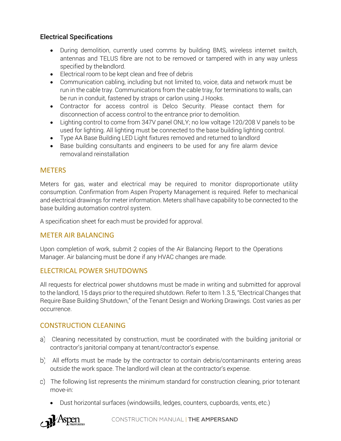# Electrical Specifications

- During demolition, currently used comms by building BMS, wireless internet switch, antennas and TELUS fibre are not to be removed or tampered with in any way unless specified by the landlord.
- Electrical room to be kept clean and free of debris
- Communication cabling, including but not limited to, voice, data and network must be run in the cable tray. Communications from the cable tray, for terminations to walls, can be run in conduit, fastened by straps or carlon using J Hooks.
- Contractor for access control is Delco Security. Please contact them for disconnection of access control to the entrance prior to demolition.
- Lighting control to come from 347V panel ONLY; no low voltage 120/208 V panels to be used for lighting. All lighting must be connected to the base building lighting control.
- Type AA Base Building LED Light fixtures removed and returned to landlord
- Base building consultants and engineers to be used for any fire alarm device removaland reinstallation

# **METERS**

Meters for gas, water and electrical may be required to monitor disproportionate utility consumption. Confirmation from Aspen Property Management is required. Refer to mechanical and electrical drawings for meter information. Meters shall have capability to be connected to the base building automation control system.

A specification sheet for each must be provided for approval.

#### METER AIR BALANCING

Upon completion of work, submit 2 copies of the Air Balancing Report to the Operations Manager. Air balancing must be done if any HVAC changes are made.

# ELECTRICAL POWER SHUTDOWNS

All requests for electrical power shutdowns must be made in writing and submitted for approval to the landlord, 15 days prior to the required shutdown. Refer to Item 1.3.5, "Electrical Changes that Require Base Building Shutdown," of the Tenant Design and Working Drawings. Cost varies as per occurrence.

# CONSTRUCTION CLEANING

- Cleaning necessitated by construction, must be coordinated with the building janitorial or contractor's janitorial company at tenant/contractor's expense.
- b) All efforts must be made by the contractor to contain debris/contaminants entering areas outside the work space. The landlord will clean at the contractor's expense.
- The following list represents the minimum standard for construction cleaning, prior totenant move-in:
	- Dust horizontal surfaces (windowsills, ledges, counters, cupboards, vents, etc.)

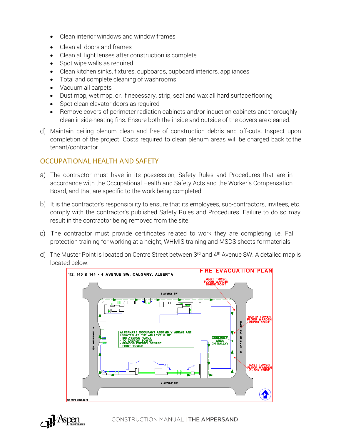- Clean interior windows and window frames
- Clean all doors and frames
- Clean all light lenses after construction is complete
- Spot wipe walls as required
- Clean kitchen sinks, fixtures, cupboards, cupboard interiors, appliances
- Total and complete cleaning of washrooms
- Vacuum all carpets
- Dust mop, wet mop, or, if necessary, strip, seal and wax all hard surface flooring
- Spot clean elevator doors as required
- Remove covers of perimeter radiation cabinets and/or induction cabinets andthoroughly clean inside-heating fins. Ensure both the inside and outside of the covers are cleaned.
- Maintain ceiling plenum clean and free of construction debris and off-cuts. Inspect upon completion of the project. Costs required to clean plenum areas will be charged back tothe tenant/contractor.

# OCCUPATIONAL HEALTH AND SAFETY

- The contractor must have in its possession, Safety Rules and Procedures that are in accordance with the Occupational Health and Safety Acts and the Worker's Compensation Board, and that are specific to the work being completed.
- b) It is the contractor's responsibility to ensure that its employees, sub-contractors, invitees, etc. comply with the contractor's published Safety Rules and Procedures. Failure to do so may result in the contractor being removed from the site.
- The contractor must provide certificates related to work they are completing i.e. Fall protection training for working at a height, WHMIS training and MSDS sheets formaterials.
- d) The Muster Point is located on Centre Street between 3rd and 4<sup>th</sup> Avenue SW. A detailed map is located below:



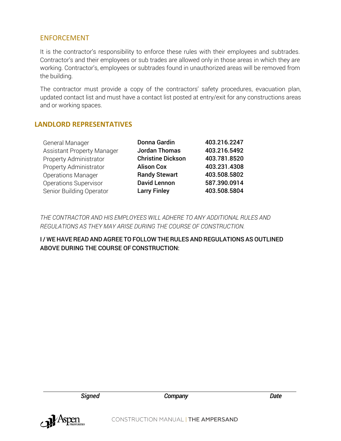#### ENFORCEMENT

It is the contractor's responsibility to enforce these rules with their employees and subtrades. Contractor's and their employees or sub trades are allowed only in those areas in which they are working. Contractor's, employees or subtrades found in unauthorized areas will be removed from the building.

The contractor must provide a copy of the contractors' safety procedures, evacuation plan, updated contact list and must have a contact list posted at entry/exit for any constructions areas and or working spaces.

#### **LANDLORD REPRESENTATIVES**

| General Manager                   | Donna Gardin             | 403.216.2247 |
|-----------------------------------|--------------------------|--------------|
| <b>Assistant Property Manager</b> | <b>Jordan Thomas</b>     | 403.216.5492 |
| Property Administrator            | <b>Christine Dickson</b> | 403.781.8520 |
| Property Administrator            | <b>Alison Cox</b>        | 403.231.4308 |
| <b>Operations Manager</b>         | <b>Randy Stewart</b>     | 403.508.5802 |
| <b>Operations Supervisor</b>      | <b>David Lennon</b>      | 587.390.0914 |
| Senior Building Operator          | <b>Larry Finley</b>      | 403.508.5804 |

*THE CONTRACTOR AND HIS EMPLOYEES WILL ADHERE TO ANY ADDITIONAL RULES AND REGULATIONS AS THEY MAY ARISE DURING THE COURSE OF CONSTRUCTION.*

I / WE HAVEREAD AND AGREE TO FOLLOW THE RULES AND REGULATIONS AS OUTLINED ABOVE DURING THE COURSE OF CONSTRUCTION:



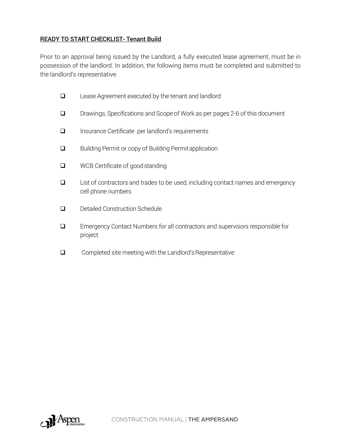### READY TO START CHECKLIST- Tenant Build

Prior to an approval being issued by the Landlord, a fully executed lease agreement, must be in possession of the landlord. In addition, the following items must be completed and submitted to the landlord's representative.

- ❑ Lease Agreement executed by the tenant and landlord
- ❑ Drawings, Specifications and Scope of Work as per pages 2-6 of this document
- ❑ Insurance Certificate per landlord's requirements
- ❑ Building Permit or copy of Building Permitapplication
- ❑ WCB Certificate of goodstanding
- ❑ List of contractors and trades to be used, including contact names and emergency cell phone numbers
- ❑ Detailed Construction Schedule
- ❑ Emergency Contact Numbers for all contractors and supervisors responsible for project
- $\Box$  Completed site meeting with the Landlord's Representative

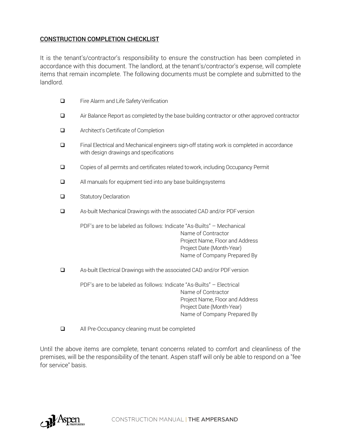#### CONSTRUCTION COMPLETION CHECKLIST

It is the tenant's/contractor's responsibility to ensure the construction has been completed in accordance with this document. The landlord, at the tenant's/contractor's expense, will complete items that remain incomplete. The following documents must be complete and submitted to the landlord.

| Fire Alarm and Life Safety Verification                                                                                                                                                    |  |  |
|--------------------------------------------------------------------------------------------------------------------------------------------------------------------------------------------|--|--|
| Air Balance Report as completed by the base building contractor or other approved contractor                                                                                               |  |  |
| Architect's Certificate of Completion                                                                                                                                                      |  |  |
| Final Electrical and Mechanical engineers sign-off stating work is completed in accordance<br>with design drawings and specifications                                                      |  |  |
| Copies of all permits and certificates related towork, including Occupancy Permit                                                                                                          |  |  |
| All manuals for equipment tied into any base building systems                                                                                                                              |  |  |
| <b>Statutory Declaration</b>                                                                                                                                                               |  |  |
| As-built Mechanical Drawings with the associated CAD and/or PDF version                                                                                                                    |  |  |
| PDF's are to be labeled as follows: Indicate "As-Builts" - Mechanical<br>Name of Contractor<br>Project Name, Floor and Address<br>Project Date (Month-Year)<br>Name of Company Prepared By |  |  |
| As-built Electrical Drawings with the associated CAD and/or PDF version                                                                                                                    |  |  |
| PDF's are to be labeled as follows: Indicate "As-Builts" - Electrical<br>Name of Contractor<br>Project Name, Floor and Address<br>Project Date (Month-Year)<br>Name of Company Prepared By |  |  |
|                                                                                                                                                                                            |  |  |

❑ All Pre-Occupancy cleaning must be completed

Until the above items are complete, tenant concerns related to comfort and cleanliness of the premises, will be the responsibility of the tenant. Aspen staff will only be able to respond on a "fee for service" basis.

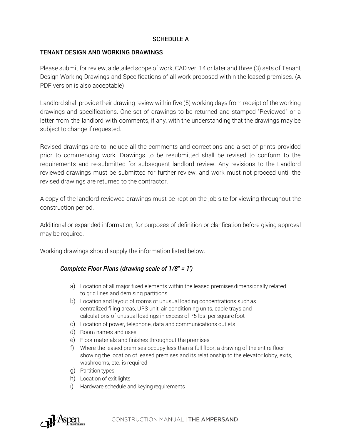#### SCHEDULE A

#### TENANT DESIGN AND WORKING DRAWINGS

Please submit for review, a detailed scope of work, CAD ver. 14 or later and three (3) sets of Tenant Design Working Drawings and Specifications of all work proposed within the leased premises. (A PDF version is also acceptable)

Landlord shall provide their drawing review within five (5) working days from receipt of the working drawings and specifications. One set of drawings to be returned and stamped "Reviewed" or a letter from the landlord with comments, if any, with the understanding that the drawings may be subject to change if requested.

Revised drawings are to include all the comments and corrections and a set of prints provided prior to commencing work. Drawings to be resubmitted shall be revised to conform to the requirements and re-submitted for subsequent landlord review. Any revisions to the Landlord reviewed drawings must be submitted for further review, and work must not proceed until the revised drawings are returned to the contractor.

A copy of the landlord-reviewed drawings must be kept on the job site for viewing throughout the construction period.

Additional or expanded information, for purposes of definition or clarification before giving approval may be required.

Working drawings should supply the information listed below.

#### *Complete Floor Plans (drawing scale of 1/8" = 1')*

- a) Location of all major fixed elements within the leased premisesdimensionally related to grid lines and demising partitions
- b) Location and layout of rooms of unusual loading concentrations such as centralized filing areas, UPS unit, air conditioning units, cable trays and calculations of unusual loadings in excess of 75 lbs. per square foot
- c) Location of power, telephone, data and communications outlets
- d) Room names and uses
- e) Floor materials and finishes throughout the premises
- f) Where the leased premises occupy less than a full floor, a drawing of the entire floor showing the location of leased premises and its relationship to the elevator lobby, exits, washrooms, etc. is required
- g) Partition types
- h) Location of exit lights
- i) Hardware schedule and keying requirements

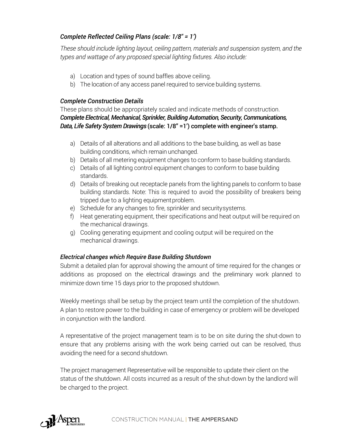# *Complete Reflected Ceiling Plans (scale: 1/8" = 1')*

*These should include lighting layout, ceiling pattern, materials and suspension system, and the types and wattage of any proposed special lighting fixtures. Also include:*

- a) Location and types of sound baffles above ceiling.
- b) The location of any access panel required to service building systems.

#### *Complete Construction Details*

These plans should be appropriately scaled and indicate methods of construction. *Complete Electrical, Mechanical, Sprinkler, Building Automation, Security, Communications, Data, Life Safety System Drawings* (scale: 1/8" =1') complete with engineer's stamp.

- a) Details of all alterations and all additions to the base building, as well as base building conditions, which remain unchanged.
- b) Details of all metering equipment changes to conform to base building standards.
- c) Details of all lighting control equipment changes to conform to base building standards.
- d) Details of breaking out receptacle panels from the lighting panels to conform to base building standards. Note: This is required to avoid the possibility of breakers being tripped due to a lighting equipment problem.
- e) Schedule for any changes to fire, sprinkler and securitysystems.
- f) Heat generating equipment, their specifications and heat output will be required on the mechanical drawings.
- g) Cooling generating equipment and cooling output will be required on the mechanical drawings.

#### *Electrical changes which Require Base Building Shutdown*

Submit a detailed plan for approval showing the amount of time required for the changes or additions as proposed on the electrical drawings and the preliminary work planned to minimize down time 15 days prior to the proposed shutdown.

Weekly meetings shall be setup by the project team until the completion of the shutdown. A plan to restore power to the building in case of emergency or problem will be developed in conjunction with the landlord.

A representative of the project management team is to be on site during the shut-down to ensure that any problems arising with the work being carried out can be resolved, thus avoiding the need for a second shutdown.

The project management Representative will be responsible to update their client on the status of the shutdown. All costs incurred as a result of the shut-down by the landlord will be charged to the project.

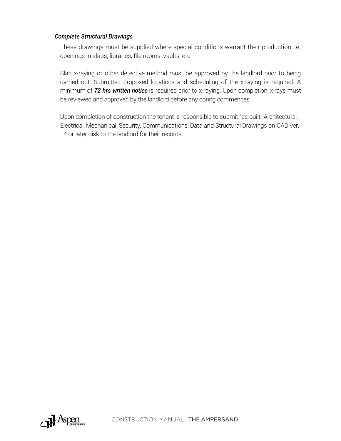#### *Complete Structural Drawings*

These drawings must be supplied where special conditions warrant their production i.e. openings in slabs, libraries, file rooms, vaults, etc.

Slab x-raying or other detective method must be approved by the landlord prior to being carried out. Submitted proposed locations and scheduling of the x-raying is required. A minimum of *72 hrs written notice* is required prior to x-raying. Upon completion, x-rays must be reviewed and approved by the landlord before any coring commences.

Upon completion of construction the tenant is responsible to submit "as built" Architectural, Electrical, Mechanical, Security, Communications, Data and Structural Drawings on CAD ver. 14 or later disk to the landlord for their records.

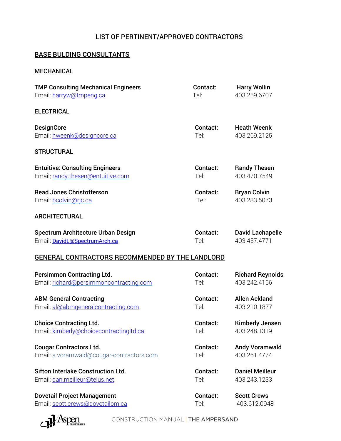# LIST OF PERTINENT/APPROVED CONTRACTORS

#### BASE BULDING CONSULTANTS

#### MECHANICAL

| <b>TMP Consulting Mechanical Engineers</b>      | Contact: | <b>Harry Wollin</b>     |
|-------------------------------------------------|----------|-------------------------|
| Email: harryw@tmpeng.ca                         | Tel:     | 403.259.6707            |
| <b>ELECTRICAL</b>                               |          |                         |
| <b>DesignCore</b>                               | Contact: | <b>Heath Weenk</b>      |
| Email: hweenk@designcore.ca                     | Tel:     | 403.269.2125            |
| <b>STRUCTURAL</b>                               |          |                         |
| <b>Entuitive: Consulting Engineers</b>          | Contact: | <b>Randy Thesen</b>     |
| Email: randy.thesen@entuitive.com               | Tel:     | 403.470.7549            |
| <b>Read Jones Christofferson</b>                | Contact: | <b>Bryan Colvin</b>     |
| Email: bcolvin@rjc.ca                           | Tel:     | 403.283.5073            |
| <b>ARCHITECTURAL</b>                            |          |                         |
| Spectrum Architecture Urban Design              | Contact: | <b>David Lachapelle</b> |
| Email: DavidL@SpectrumArch.ca                   | Tel:     | 403.457.4771            |
| GENERAL CONTRACTORS RECOMMENDED BY THE LANDLORD |          |                         |
| <b>Persimmon Contracting Ltd.</b>               | Contact: | <b>Richard Reynolds</b> |
| Email: richard@persimmoncontracting.com         | Tel:     | 403.242.4156            |
| <b>ABM General Contracting</b>                  | Contact: | <b>Allen Ackland</b>    |
| Email: al@abmgeneralcontracting.com             | Tel:     | 403.210.1877            |
| <b>Choice Contracting Ltd.</b>                  | Contact: | Kimberly Jensen         |
| Email: kimberly@choicecontractingltd.ca         | Tel:     | 403.248.1319            |
| <b>Cougar Contractors Ltd.</b>                  | Contact: | <b>Andy Voramwald</b>   |
| Email: a.voramwald@cougar-contractors.com       | Tel:     | 403.261.4774            |
| <b>Sifton Interlake Construction Ltd.</b>       | Contact: | <b>Daniel Meilleur</b>  |
| Email: dan.meilleur@telus.net                   | Tel:     | 403.243.1233            |
| <b>Dovetail Project Management</b>              | Contact: | <b>Scott Crews</b>      |
| Email: scott.crews@dovetailpm.ca                | Tel:     | 403.612.0948            |

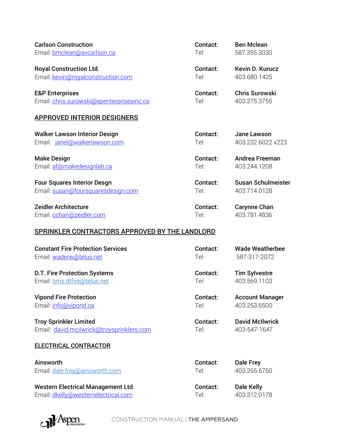| <b>Carlson Construction</b>                    | Contact: | <b>Ben Mclean</b>         |
|------------------------------------------------|----------|---------------------------|
| Email: bmclean@avcarlson.ca                    | Tel:     | 587.355.3030              |
| <b>Royal Construction Ltd.</b>                 | Contact: | <b>Kevin D. Kurucz</b>    |
| Email: kevin@royalconstruction.com             | Tel:     | 403.680.1425              |
| <b>E&amp;P Enterprises</b>                     | Contact: | <b>Chris Surowski</b>     |
| Email: chris.surowski@epenterprisesinc.ca      | Tel:     | 403.275.3755              |
| <b>APPROVED INTERIOR DESIGNERS</b>             |          |                           |
| <b>Walker Lawson Interior Design</b>           | Contact: | <b>Jane Lawson</b>        |
| Email: janel@walkerlawson.com                  | Tel:     | 403.232.6022 x223         |
| <b>Make Design</b>                             | Contact: | <b>Andrea Freeman</b>     |
| Email: af@makedesignlab.ca                     | Tel:     | 403.244.1208              |
| <b>Four Squares Interior Desgn</b>             | Contact: | <b>Susan Schulmeister</b> |
| Email: susan@foursquaresdesign.com             | Tel:     | 403.714.0128              |
| <b>Zeidler Architecture</b>                    | Contact: | <b>Carynne Chan</b>       |
| Email: cchan@zeidler.com                       | Tel:     | 403.781.4836              |
| SPRINKLER CONTRACTORS APPROVED BY THE LANDLORD |          |                           |
| <b>Constant Fire Protection Services</b>       | Contact: | <b>Wade Weatherbee</b>    |
| Email: waderw@telus.net                        | Tel:     | 587-317-2072              |
| <b>D.T. Fire Protection Systems</b>            | Contact: | <b>Tim Sylvestre</b>      |
| Email: tims.dtfire@telus.net                   | Tel:     | 403.569.1103              |
| <b>Vipond Fire Protection</b>                  | Contact: | <b>Account Manager</b>    |
| Email: info@vipond.ca                          | Tel:     | 403.253.6500              |
| <b>Troy Sprinkler Limited</b>                  | Contact: | <b>David McIlwrick</b>    |
| Email: david.mcilwrick@troysprinklers.com      | Tel:     | 403-547-1647              |
| <b>ELECTRICAL CONTRACTOR</b>                   |          |                           |
| Ainsworth                                      | Contact: | <b>Dale Frey</b>          |
| Email: dale.frey@ainsworth.com                 | Tel:     | 403.265.6750              |
| <b>Western Electrical Management Ltd.</b>      | Contact: | <b>Dale Kelly</b>         |

Email: [dkelly@westernelectrical.com](mailto:dkelly@westernelectrical.com) Tel: 403.312.0178

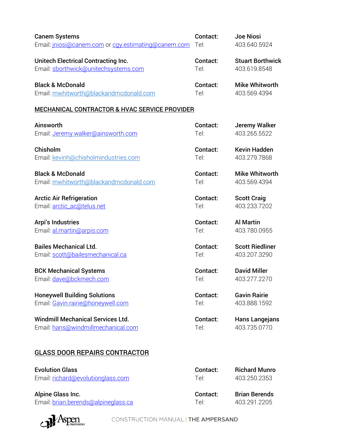| <b>Canem Systems</b>                                     | Contact: | <b>Joe Niosi</b>        |
|----------------------------------------------------------|----------|-------------------------|
| Email: injosi@canem.com or cqy.estimating@canem.com      | Tel:     | 403.640.5924            |
| <b>Unitech Electrical Contracting Inc.</b>               | Contact: | <b>Stuart Borthwick</b> |
| Email: sborthwick@unitechsystems.com                     | Tel:     | 403.619.8548            |
| <b>Black &amp; McDonald</b>                              | Contact: | <b>Mike Whitworth</b>   |
| Email: mwhitworth@blackandmcdonald.com                   | Tel:     | 403.569.4394            |
| <b>MECHANICAL CONTRACTOR &amp; HVAC SERVICE PROVIDER</b> |          |                         |
| Ainsworth                                                | Contact: | Jeremy Walker           |
| Email: Jeremy.walker@ainsworth.com                       | Tel:     | 403.265.5522            |
| Chisholm                                                 | Contact: | <b>Kevin Hadden</b>     |
| Email: kevinh@chisholmindustries.com                     | Tel:     | 403.279.7868            |
| <b>Black &amp; McDonald</b>                              | Contact: | <b>Mike Whitworth</b>   |
| Email: mwhitworth@blackandmcdonald.com                   | Tel:     | 403.569.4394            |
| <b>Arctic Air Refrigeration</b>                          | Contact: | <b>Scott Craig</b>      |
| Email: arctic_ac@telus.net                               | Tel:     | 403.233.7202            |
| <b>Arpi's Industries</b>                                 | Contact: | <b>Al Martin</b>        |
| Email: al.martin@arpis.com                               | Tel:     | 403.780.0955            |
| <b>Bailes Mechanical Ltd.</b>                            | Contact: | <b>Scott Riedliner</b>  |
| Email: scott@bailesmechanical.ca                         | Tel:     | 403.207.3290            |
| <b>BCK Mechanical Systems</b>                            | Contact: | <b>David Miller</b>     |
| Email: dave@bckmech.com                                  | Tel:     | 403.277.2270            |
| <b>Honeywell Building Solutions</b>                      | Contact: | <b>Gavin Rairie</b>     |
| Email: Gavin.rairie@honeywell.com                        | Tel:     | 403.888.1592            |
| <b>Windmill Mechanical Services Ltd.</b>                 | Contact: | <b>Hans Langejans</b>   |
| Email: hans@windmillmechanical.com                       | Tel:     | 403.735.0770            |
| <b>GLASS DOOR REPAIRS CONTRACTOR</b>                     |          |                         |
| <b>Evolution Glass</b>                                   | Contact: | <b>Richard Munro</b>    |
| Email: richard@evolutionglass.com                        | Tel:     | 403.250.2353            |

Alpine Glass Inc. **Contact:** Brian Berends Email: [brian.berends@alpineglass.ca](mailto:brian.berends@alpineglass.ca) Tel: 403.291.2205